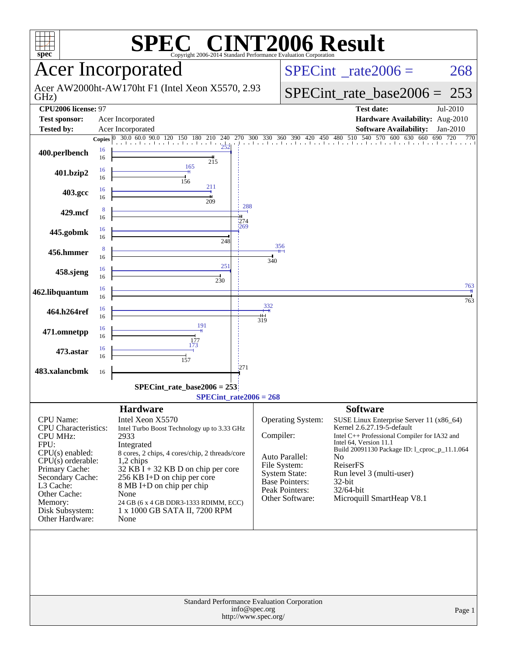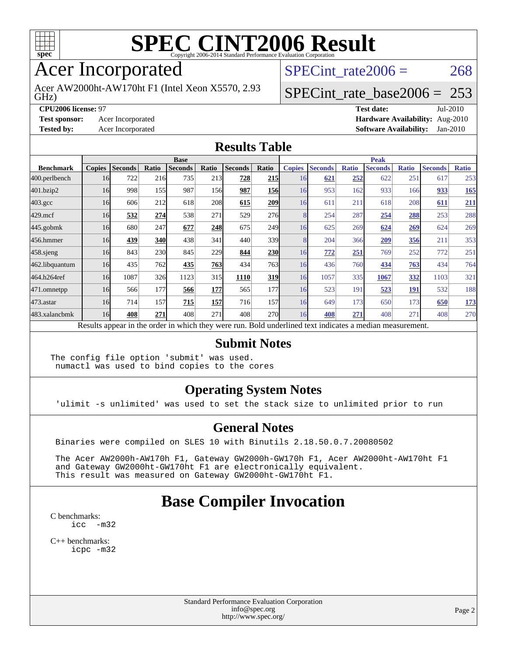

### Acer Incorporated

Acer AW2000ht-AW170ht F1 (Intel Xeon X5570, 2.93

SPECint rate $2006 = 268$ 

## [SPECint\\_rate\\_base2006 =](http://www.spec.org/auto/cpu2006/Docs/result-fields.html#SPECintratebase2006) 253

#### GHz)

**[CPU2006 license:](http://www.spec.org/auto/cpu2006/Docs/result-fields.html#CPU2006license)** 97 **[Test date:](http://www.spec.org/auto/cpu2006/Docs/result-fields.html#Testdate)** Jul-2010 **[Test sponsor:](http://www.spec.org/auto/cpu2006/Docs/result-fields.html#Testsponsor)** Acer Incorporated **[Hardware Availability:](http://www.spec.org/auto/cpu2006/Docs/result-fields.html#HardwareAvailability)** Aug-2010

**[Tested by:](http://www.spec.org/auto/cpu2006/Docs/result-fields.html#Testedby)** Acer Incorporated **[Software Availability:](http://www.spec.org/auto/cpu2006/Docs/result-fields.html#SoftwareAvailability)** Jan-2010

#### **[Results Table](http://www.spec.org/auto/cpu2006/Docs/result-fields.html#ResultsTable)**

|                    | <b>Base</b>   |                |       |                                                                                                          |       |                |            | <b>Peak</b>   |                |              |                |              |                |              |
|--------------------|---------------|----------------|-------|----------------------------------------------------------------------------------------------------------|-------|----------------|------------|---------------|----------------|--------------|----------------|--------------|----------------|--------------|
| <b>Benchmark</b>   | <b>Copies</b> | <b>Seconds</b> | Ratio | <b>Seconds</b>                                                                                           | Ratio | <b>Seconds</b> | Ratio      | <b>Copies</b> | <b>Seconds</b> | <b>Ratio</b> | <b>Seconds</b> | <b>Ratio</b> | <b>Seconds</b> | <b>Ratio</b> |
| 400.perlbench      | 16            | 722            | 216   | 735                                                                                                      | 213   | 728            | <b>215</b> | 16            | 621            | 252          | 622            | 251          | 617            | 253          |
| 401.bzip2          | 16            | 998            | 155   | 987                                                                                                      | 156   | 987            | <b>156</b> | 16            | 953            | 162          | 933            | 166          | 933            | 165          |
| $403.\mathrm{gcc}$ | 16            | 606            | 212   | 618                                                                                                      | 208   | 615            | 209        | 16            | 611            | 211          | 618            | 208          | 611            | 211          |
| $429$ .mcf         | 16            | 532            | 274   | 538                                                                                                      | 271   | 529            | 276        | 8             | 254            | 287          | 254            | 288          | 253            | 288          |
| $445$ .gobmk       | 16            | 680            | 247   | 677                                                                                                      | 248   | 675            | 249l       | 16            | 625            | 269          | 624            | 269          | 624            | 269          |
| 456.hmmer          | 16            | 439            | 340   | 438                                                                                                      | 341   | 440            | 339        | 8             | 204            | 366          | 209            | 356          | 211            | 353          |
| $458$ .sjeng       | 16            | 843            | 230   | 845                                                                                                      | 229   | 844            | <b>230</b> | 16            | 772            | 251          | 769            | 252          | 772            | 251          |
| 462.libquantum     | 16            | 435            | 762   | 435                                                                                                      | 763   | 434            | 763I       | 16            | 436            | 760          | 434            | 763          | 434            | 764          |
| 464.h264ref        | 16            | 1087           | 326   | 1123                                                                                                     | 315   | 1110           | 319        | 16            | 1057           | 335          | 1067           | 332          | 1103           | 321          |
| 471.omnetpp        | 16            | 566            | 177   | 566                                                                                                      | 177   | 565            | 177        | 16            | 523            | 191          | 523            | <b>191</b>   | 532            | 188          |
| $473$ . astar      | 16            | 714            | 157   | 715                                                                                                      | 157   | 716            | 157        | 16            | 649            | 173          | 650            | 173          | 650            | <u>173</u>   |
| 483.xalancbmk      | 16            | 408            | 271   | 408                                                                                                      | 271   | 408            | 270        | 16            | 408            | 271          | 408            | 271          | 408            | 270          |
|                    |               |                |       | Results appear in the order in which they were run. Bold underlined text indicates a median measurement. |       |                |            |               |                |              |                |              |                |              |

#### **[Submit Notes](http://www.spec.org/auto/cpu2006/Docs/result-fields.html#SubmitNotes)**

The config file option 'submit' was used. numactl was used to bind copies to the cores

#### **[Operating System Notes](http://www.spec.org/auto/cpu2006/Docs/result-fields.html#OperatingSystemNotes)**

'ulimit -s unlimited' was used to set the stack size to unlimited prior to run

#### **[General Notes](http://www.spec.org/auto/cpu2006/Docs/result-fields.html#GeneralNotes)**

Binaries were compiled on SLES 10 with Binutils 2.18.50.0.7.20080502

 The Acer AW2000h-AW170h F1, Gateway GW2000h-GW170h F1, Acer AW2000ht-AW170ht F1 and Gateway GW2000ht-GW170ht F1 are electronically equivalent. This result was measured on Gateway GW2000ht-GW170ht F1.

### **[Base Compiler Invocation](http://www.spec.org/auto/cpu2006/Docs/result-fields.html#BaseCompilerInvocation)**

[C benchmarks](http://www.spec.org/auto/cpu2006/Docs/result-fields.html#Cbenchmarks): [icc -m32](http://www.spec.org/cpu2006/results/res2010q3/cpu2006-20100802-12816.flags.html#user_CCbase_intel_icc_32bit_5ff4a39e364c98233615fdd38438c6f2)

[C++ benchmarks:](http://www.spec.org/auto/cpu2006/Docs/result-fields.html#CXXbenchmarks) [icpc -m32](http://www.spec.org/cpu2006/results/res2010q3/cpu2006-20100802-12816.flags.html#user_CXXbase_intel_icpc_32bit_4e5a5ef1a53fd332b3c49e69c3330699)

> Standard Performance Evaluation Corporation [info@spec.org](mailto:info@spec.org) <http://www.spec.org/>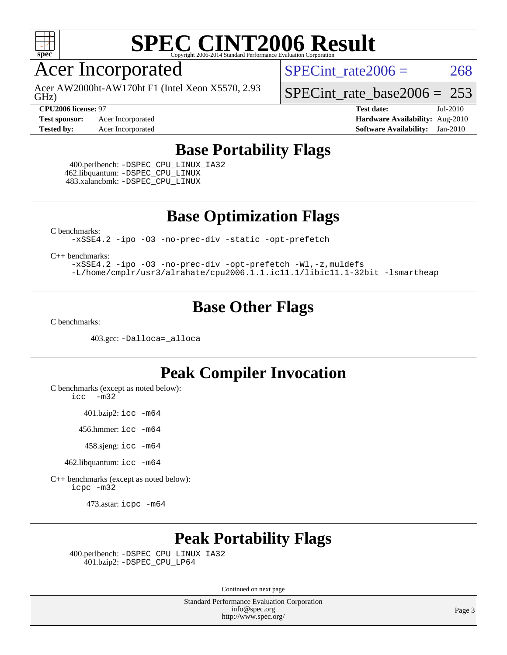

### Acer Incorporated

GHz) Acer AW2000ht-AW170ht F1 (Intel Xeon X5570, 2.93 SPECint rate $2006 = 268$ 

[SPECint\\_rate\\_base2006 =](http://www.spec.org/auto/cpu2006/Docs/result-fields.html#SPECintratebase2006) 253 **[CPU2006 license:](http://www.spec.org/auto/cpu2006/Docs/result-fields.html#CPU2006license)** 97 **[Test date:](http://www.spec.org/auto/cpu2006/Docs/result-fields.html#Testdate)** Jul-2010

**[Test sponsor:](http://www.spec.org/auto/cpu2006/Docs/result-fields.html#Testsponsor)** Acer Incorporated **[Hardware Availability:](http://www.spec.org/auto/cpu2006/Docs/result-fields.html#HardwareAvailability)** Aug-2010 **[Tested by:](http://www.spec.org/auto/cpu2006/Docs/result-fields.html#Testedby)** Acer Incorporated **[Software Availability:](http://www.spec.org/auto/cpu2006/Docs/result-fields.html#SoftwareAvailability)** Jan-2010

#### **[Base Portability Flags](http://www.spec.org/auto/cpu2006/Docs/result-fields.html#BasePortabilityFlags)**

 400.perlbench: [-DSPEC\\_CPU\\_LINUX\\_IA32](http://www.spec.org/cpu2006/results/res2010q3/cpu2006-20100802-12816.flags.html#b400.perlbench_baseCPORTABILITY_DSPEC_CPU_LINUX_IA32) 462.libquantum: [-DSPEC\\_CPU\\_LINUX](http://www.spec.org/cpu2006/results/res2010q3/cpu2006-20100802-12816.flags.html#b462.libquantum_baseCPORTABILITY_DSPEC_CPU_LINUX) 483.xalancbmk: [-DSPEC\\_CPU\\_LINUX](http://www.spec.org/cpu2006/results/res2010q3/cpu2006-20100802-12816.flags.html#b483.xalancbmk_baseCXXPORTABILITY_DSPEC_CPU_LINUX)

**[Base Optimization Flags](http://www.spec.org/auto/cpu2006/Docs/result-fields.html#BaseOptimizationFlags)**

[C benchmarks](http://www.spec.org/auto/cpu2006/Docs/result-fields.html#Cbenchmarks):

[-xSSE4.2](http://www.spec.org/cpu2006/results/res2010q3/cpu2006-20100802-12816.flags.html#user_CCbase_f-xSSE42_f91528193cf0b216347adb8b939d4107) [-ipo](http://www.spec.org/cpu2006/results/res2010q3/cpu2006-20100802-12816.flags.html#user_CCbase_f-ipo) [-O3](http://www.spec.org/cpu2006/results/res2010q3/cpu2006-20100802-12816.flags.html#user_CCbase_f-O3) [-no-prec-div](http://www.spec.org/cpu2006/results/res2010q3/cpu2006-20100802-12816.flags.html#user_CCbase_f-no-prec-div) [-static](http://www.spec.org/cpu2006/results/res2010q3/cpu2006-20100802-12816.flags.html#user_CCbase_f-static) [-opt-prefetch](http://www.spec.org/cpu2006/results/res2010q3/cpu2006-20100802-12816.flags.html#user_CCbase_f-opt-prefetch)

[C++ benchmarks:](http://www.spec.org/auto/cpu2006/Docs/result-fields.html#CXXbenchmarks)

[-xSSE4.2](http://www.spec.org/cpu2006/results/res2010q3/cpu2006-20100802-12816.flags.html#user_CXXbase_f-xSSE42_f91528193cf0b216347adb8b939d4107) [-ipo](http://www.spec.org/cpu2006/results/res2010q3/cpu2006-20100802-12816.flags.html#user_CXXbase_f-ipo) [-O3](http://www.spec.org/cpu2006/results/res2010q3/cpu2006-20100802-12816.flags.html#user_CXXbase_f-O3) [-no-prec-div](http://www.spec.org/cpu2006/results/res2010q3/cpu2006-20100802-12816.flags.html#user_CXXbase_f-no-prec-div) [-opt-prefetch](http://www.spec.org/cpu2006/results/res2010q3/cpu2006-20100802-12816.flags.html#user_CXXbase_f-opt-prefetch) [-Wl,-z,muldefs](http://www.spec.org/cpu2006/results/res2010q3/cpu2006-20100802-12816.flags.html#user_CXXbase_link_force_multiple1_74079c344b956b9658436fd1b6dd3a8a) [-L/home/cmplr/usr3/alrahate/cpu2006.1.1.ic11.1/libic11.1-32bit -lsmartheap](http://www.spec.org/cpu2006/results/res2010q3/cpu2006-20100802-12816.flags.html#user_CXXbase_SmartHeap_d86dffe4a79b79ef8890d5cce17030c3)

#### **[Base Other Flags](http://www.spec.org/auto/cpu2006/Docs/result-fields.html#BaseOtherFlags)**

[C benchmarks](http://www.spec.org/auto/cpu2006/Docs/result-fields.html#Cbenchmarks):

403.gcc: [-Dalloca=\\_alloca](http://www.spec.org/cpu2006/results/res2010q3/cpu2006-20100802-12816.flags.html#b403.gcc_baseEXTRA_CFLAGS_Dalloca_be3056838c12de2578596ca5467af7f3)

#### **[Peak Compiler Invocation](http://www.spec.org/auto/cpu2006/Docs/result-fields.html#PeakCompilerInvocation)**

[C benchmarks \(except as noted below\)](http://www.spec.org/auto/cpu2006/Docs/result-fields.html#Cbenchmarksexceptasnotedbelow):

[icc -m32](http://www.spec.org/cpu2006/results/res2010q3/cpu2006-20100802-12816.flags.html#user_CCpeak_intel_icc_32bit_5ff4a39e364c98233615fdd38438c6f2)

401.bzip2: [icc -m64](http://www.spec.org/cpu2006/results/res2010q3/cpu2006-20100802-12816.flags.html#user_peakCCLD401_bzip2_intel_icc_64bit_bda6cc9af1fdbb0edc3795bac97ada53)

456.hmmer: [icc -m64](http://www.spec.org/cpu2006/results/res2010q3/cpu2006-20100802-12816.flags.html#user_peakCCLD456_hmmer_intel_icc_64bit_bda6cc9af1fdbb0edc3795bac97ada53)

458.sjeng: [icc -m64](http://www.spec.org/cpu2006/results/res2010q3/cpu2006-20100802-12816.flags.html#user_peakCCLD458_sjeng_intel_icc_64bit_bda6cc9af1fdbb0edc3795bac97ada53)

462.libquantum: [icc -m64](http://www.spec.org/cpu2006/results/res2010q3/cpu2006-20100802-12816.flags.html#user_peakCCLD462_libquantum_intel_icc_64bit_bda6cc9af1fdbb0edc3795bac97ada53)

[C++ benchmarks \(except as noted below\):](http://www.spec.org/auto/cpu2006/Docs/result-fields.html#CXXbenchmarksexceptasnotedbelow) [icpc -m32](http://www.spec.org/cpu2006/results/res2010q3/cpu2006-20100802-12816.flags.html#user_CXXpeak_intel_icpc_32bit_4e5a5ef1a53fd332b3c49e69c3330699)

473.astar: [icpc -m64](http://www.spec.org/cpu2006/results/res2010q3/cpu2006-20100802-12816.flags.html#user_peakCXXLD473_astar_intel_icpc_64bit_fc66a5337ce925472a5c54ad6a0de310)

### **[Peak Portability Flags](http://www.spec.org/auto/cpu2006/Docs/result-fields.html#PeakPortabilityFlags)**

 400.perlbench: [-DSPEC\\_CPU\\_LINUX\\_IA32](http://www.spec.org/cpu2006/results/res2010q3/cpu2006-20100802-12816.flags.html#b400.perlbench_peakCPORTABILITY_DSPEC_CPU_LINUX_IA32) 401.bzip2: [-DSPEC\\_CPU\\_LP64](http://www.spec.org/cpu2006/results/res2010q3/cpu2006-20100802-12816.flags.html#suite_peakCPORTABILITY401_bzip2_DSPEC_CPU_LP64)

Continued on next page

Standard Performance Evaluation Corporation [info@spec.org](mailto:info@spec.org) <http://www.spec.org/>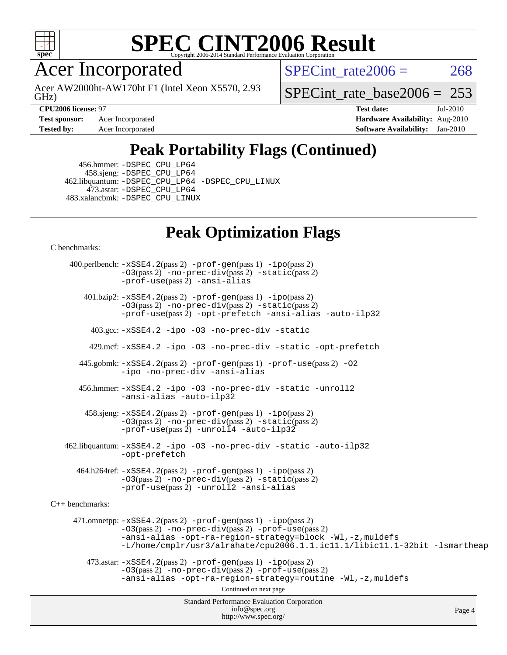

Acer Incorporated

GHz) Acer AW2000ht-AW170ht F1 (Intel Xeon X5570, 2.93 SPECint rate $2006 = 268$ 

[SPECint\\_rate\\_base2006 =](http://www.spec.org/auto/cpu2006/Docs/result-fields.html#SPECintratebase2006) 253

**[Test sponsor:](http://www.spec.org/auto/cpu2006/Docs/result-fields.html#Testsponsor)** Acer Incorporated **[Hardware Availability:](http://www.spec.org/auto/cpu2006/Docs/result-fields.html#HardwareAvailability)** Aug-2010

**[CPU2006 license:](http://www.spec.org/auto/cpu2006/Docs/result-fields.html#CPU2006license)** 97 **[Test date:](http://www.spec.org/auto/cpu2006/Docs/result-fields.html#Testdate)** Jul-2010 **[Tested by:](http://www.spec.org/auto/cpu2006/Docs/result-fields.html#Testedby)** Acer Incorporated **[Software Availability:](http://www.spec.org/auto/cpu2006/Docs/result-fields.html#SoftwareAvailability)** Jan-2010

### **[Peak Portability Flags \(Continued\)](http://www.spec.org/auto/cpu2006/Docs/result-fields.html#PeakPortabilityFlags)**

 456.hmmer: [-DSPEC\\_CPU\\_LP64](http://www.spec.org/cpu2006/results/res2010q3/cpu2006-20100802-12816.flags.html#suite_peakCPORTABILITY456_hmmer_DSPEC_CPU_LP64) 458.sjeng: [-DSPEC\\_CPU\\_LP64](http://www.spec.org/cpu2006/results/res2010q3/cpu2006-20100802-12816.flags.html#suite_peakCPORTABILITY458_sjeng_DSPEC_CPU_LP64) 462.libquantum: [-DSPEC\\_CPU\\_LP64](http://www.spec.org/cpu2006/results/res2010q3/cpu2006-20100802-12816.flags.html#suite_peakCPORTABILITY462_libquantum_DSPEC_CPU_LP64) [-DSPEC\\_CPU\\_LINUX](http://www.spec.org/cpu2006/results/res2010q3/cpu2006-20100802-12816.flags.html#b462.libquantum_peakCPORTABILITY_DSPEC_CPU_LINUX) 473.astar: [-DSPEC\\_CPU\\_LP64](http://www.spec.org/cpu2006/results/res2010q3/cpu2006-20100802-12816.flags.html#suite_peakCXXPORTABILITY473_astar_DSPEC_CPU_LP64) 483.xalancbmk: [-DSPEC\\_CPU\\_LINUX](http://www.spec.org/cpu2006/results/res2010q3/cpu2006-20100802-12816.flags.html#b483.xalancbmk_peakCXXPORTABILITY_DSPEC_CPU_LINUX)

### **[Peak Optimization Flags](http://www.spec.org/auto/cpu2006/Docs/result-fields.html#PeakOptimizationFlags)**

[C benchmarks](http://www.spec.org/auto/cpu2006/Docs/result-fields.html#Cbenchmarks):

Standard Performance Evaluation Corporation [info@spec.org](mailto:info@spec.org) <http://www.spec.org/> Page 4 400.perlbench: [-xSSE4.2](http://www.spec.org/cpu2006/results/res2010q3/cpu2006-20100802-12816.flags.html#user_peakPASS2_CFLAGSPASS2_LDCFLAGS400_perlbench_f-xSSE42_f91528193cf0b216347adb8b939d4107)(pass 2) [-prof-gen](http://www.spec.org/cpu2006/results/res2010q3/cpu2006-20100802-12816.flags.html#user_peakPASS1_CFLAGSPASS1_LDCFLAGS400_perlbench_prof_gen_e43856698f6ca7b7e442dfd80e94a8fc)(pass 1) [-ipo](http://www.spec.org/cpu2006/results/res2010q3/cpu2006-20100802-12816.flags.html#user_peakPASS2_CFLAGSPASS2_LDCFLAGS400_perlbench_f-ipo)(pass 2) [-O3](http://www.spec.org/cpu2006/results/res2010q3/cpu2006-20100802-12816.flags.html#user_peakPASS2_CFLAGSPASS2_LDCFLAGS400_perlbench_f-O3)(pass 2) [-no-prec-div](http://www.spec.org/cpu2006/results/res2010q3/cpu2006-20100802-12816.flags.html#user_peakPASS2_CFLAGSPASS2_LDCFLAGS400_perlbench_f-no-prec-div)(pass 2) [-static](http://www.spec.org/cpu2006/results/res2010q3/cpu2006-20100802-12816.flags.html#user_peakPASS2_CFLAGSPASS2_LDCFLAGS400_perlbench_f-static)(pass 2) [-prof-use](http://www.spec.org/cpu2006/results/res2010q3/cpu2006-20100802-12816.flags.html#user_peakPASS2_CFLAGSPASS2_LDCFLAGS400_perlbench_prof_use_bccf7792157ff70d64e32fe3e1250b55)(pass 2) [-ansi-alias](http://www.spec.org/cpu2006/results/res2010q3/cpu2006-20100802-12816.flags.html#user_peakCOPTIMIZE400_perlbench_f-ansi-alias) 401.bzip2: [-xSSE4.2](http://www.spec.org/cpu2006/results/res2010q3/cpu2006-20100802-12816.flags.html#user_peakPASS2_CFLAGSPASS2_LDCFLAGS401_bzip2_f-xSSE42_f91528193cf0b216347adb8b939d4107)(pass 2) [-prof-gen](http://www.spec.org/cpu2006/results/res2010q3/cpu2006-20100802-12816.flags.html#user_peakPASS1_CFLAGSPASS1_LDCFLAGS401_bzip2_prof_gen_e43856698f6ca7b7e442dfd80e94a8fc)(pass 1) [-ipo](http://www.spec.org/cpu2006/results/res2010q3/cpu2006-20100802-12816.flags.html#user_peakPASS2_CFLAGSPASS2_LDCFLAGS401_bzip2_f-ipo)(pass 2) [-O3](http://www.spec.org/cpu2006/results/res2010q3/cpu2006-20100802-12816.flags.html#user_peakPASS2_CFLAGSPASS2_LDCFLAGS401_bzip2_f-O3)(pass 2) [-no-prec-div](http://www.spec.org/cpu2006/results/res2010q3/cpu2006-20100802-12816.flags.html#user_peakPASS2_CFLAGSPASS2_LDCFLAGS401_bzip2_f-no-prec-div)(pass 2) [-static](http://www.spec.org/cpu2006/results/res2010q3/cpu2006-20100802-12816.flags.html#user_peakPASS2_CFLAGSPASS2_LDCFLAGS401_bzip2_f-static)(pass 2) [-prof-use](http://www.spec.org/cpu2006/results/res2010q3/cpu2006-20100802-12816.flags.html#user_peakPASS2_CFLAGSPASS2_LDCFLAGS401_bzip2_prof_use_bccf7792157ff70d64e32fe3e1250b55)(pass 2) [-opt-prefetch](http://www.spec.org/cpu2006/results/res2010q3/cpu2006-20100802-12816.flags.html#user_peakCOPTIMIZE401_bzip2_f-opt-prefetch) [-ansi-alias](http://www.spec.org/cpu2006/results/res2010q3/cpu2006-20100802-12816.flags.html#user_peakCOPTIMIZE401_bzip2_f-ansi-alias) [-auto-ilp32](http://www.spec.org/cpu2006/results/res2010q3/cpu2006-20100802-12816.flags.html#user_peakCOPTIMIZE401_bzip2_f-auto-ilp32) 403.gcc: [-xSSE4.2](http://www.spec.org/cpu2006/results/res2010q3/cpu2006-20100802-12816.flags.html#user_peakCOPTIMIZE403_gcc_f-xSSE42_f91528193cf0b216347adb8b939d4107) [-ipo](http://www.spec.org/cpu2006/results/res2010q3/cpu2006-20100802-12816.flags.html#user_peakCOPTIMIZE403_gcc_f-ipo) [-O3](http://www.spec.org/cpu2006/results/res2010q3/cpu2006-20100802-12816.flags.html#user_peakCOPTIMIZE403_gcc_f-O3) [-no-prec-div](http://www.spec.org/cpu2006/results/res2010q3/cpu2006-20100802-12816.flags.html#user_peakCOPTIMIZE403_gcc_f-no-prec-div) [-static](http://www.spec.org/cpu2006/results/res2010q3/cpu2006-20100802-12816.flags.html#user_peakCOPTIMIZE403_gcc_f-static) 429.mcf: [-xSSE4.2](http://www.spec.org/cpu2006/results/res2010q3/cpu2006-20100802-12816.flags.html#user_peakCOPTIMIZE429_mcf_f-xSSE42_f91528193cf0b216347adb8b939d4107) [-ipo](http://www.spec.org/cpu2006/results/res2010q3/cpu2006-20100802-12816.flags.html#user_peakCOPTIMIZE429_mcf_f-ipo) [-O3](http://www.spec.org/cpu2006/results/res2010q3/cpu2006-20100802-12816.flags.html#user_peakCOPTIMIZE429_mcf_f-O3) [-no-prec-div](http://www.spec.org/cpu2006/results/res2010q3/cpu2006-20100802-12816.flags.html#user_peakCOPTIMIZE429_mcf_f-no-prec-div) [-static](http://www.spec.org/cpu2006/results/res2010q3/cpu2006-20100802-12816.flags.html#user_peakCOPTIMIZE429_mcf_f-static) [-opt-prefetch](http://www.spec.org/cpu2006/results/res2010q3/cpu2006-20100802-12816.flags.html#user_peakCOPTIMIZE429_mcf_f-opt-prefetch) 445.gobmk: [-xSSE4.2](http://www.spec.org/cpu2006/results/res2010q3/cpu2006-20100802-12816.flags.html#user_peakPASS2_CFLAGSPASS2_LDCFLAGS445_gobmk_f-xSSE42_f91528193cf0b216347adb8b939d4107)(pass 2) [-prof-gen](http://www.spec.org/cpu2006/results/res2010q3/cpu2006-20100802-12816.flags.html#user_peakPASS1_CFLAGSPASS1_LDCFLAGS445_gobmk_prof_gen_e43856698f6ca7b7e442dfd80e94a8fc)(pass 1) [-prof-use](http://www.spec.org/cpu2006/results/res2010q3/cpu2006-20100802-12816.flags.html#user_peakPASS2_CFLAGSPASS2_LDCFLAGS445_gobmk_prof_use_bccf7792157ff70d64e32fe3e1250b55)(pass 2) [-O2](http://www.spec.org/cpu2006/results/res2010q3/cpu2006-20100802-12816.flags.html#user_peakCOPTIMIZE445_gobmk_f-O2) [-ipo](http://www.spec.org/cpu2006/results/res2010q3/cpu2006-20100802-12816.flags.html#user_peakCOPTIMIZE445_gobmk_f-ipo) [-no-prec-div](http://www.spec.org/cpu2006/results/res2010q3/cpu2006-20100802-12816.flags.html#user_peakCOPTIMIZE445_gobmk_f-no-prec-div) [-ansi-alias](http://www.spec.org/cpu2006/results/res2010q3/cpu2006-20100802-12816.flags.html#user_peakCOPTIMIZE445_gobmk_f-ansi-alias) 456.hmmer: [-xSSE4.2](http://www.spec.org/cpu2006/results/res2010q3/cpu2006-20100802-12816.flags.html#user_peakCOPTIMIZE456_hmmer_f-xSSE42_f91528193cf0b216347adb8b939d4107) [-ipo](http://www.spec.org/cpu2006/results/res2010q3/cpu2006-20100802-12816.flags.html#user_peakCOPTIMIZE456_hmmer_f-ipo) [-O3](http://www.spec.org/cpu2006/results/res2010q3/cpu2006-20100802-12816.flags.html#user_peakCOPTIMIZE456_hmmer_f-O3) [-no-prec-div](http://www.spec.org/cpu2006/results/res2010q3/cpu2006-20100802-12816.flags.html#user_peakCOPTIMIZE456_hmmer_f-no-prec-div) [-static](http://www.spec.org/cpu2006/results/res2010q3/cpu2006-20100802-12816.flags.html#user_peakCOPTIMIZE456_hmmer_f-static) [-unroll2](http://www.spec.org/cpu2006/results/res2010q3/cpu2006-20100802-12816.flags.html#user_peakCOPTIMIZE456_hmmer_f-unroll_784dae83bebfb236979b41d2422d7ec2) [-ansi-alias](http://www.spec.org/cpu2006/results/res2010q3/cpu2006-20100802-12816.flags.html#user_peakCOPTIMIZE456_hmmer_f-ansi-alias) [-auto-ilp32](http://www.spec.org/cpu2006/results/res2010q3/cpu2006-20100802-12816.flags.html#user_peakCOPTIMIZE456_hmmer_f-auto-ilp32) 458.sjeng: [-xSSE4.2](http://www.spec.org/cpu2006/results/res2010q3/cpu2006-20100802-12816.flags.html#user_peakPASS2_CFLAGSPASS2_LDCFLAGS458_sjeng_f-xSSE42_f91528193cf0b216347adb8b939d4107)(pass 2) [-prof-gen](http://www.spec.org/cpu2006/results/res2010q3/cpu2006-20100802-12816.flags.html#user_peakPASS1_CFLAGSPASS1_LDCFLAGS458_sjeng_prof_gen_e43856698f6ca7b7e442dfd80e94a8fc)(pass 1) [-ipo](http://www.spec.org/cpu2006/results/res2010q3/cpu2006-20100802-12816.flags.html#user_peakPASS2_CFLAGSPASS2_LDCFLAGS458_sjeng_f-ipo)(pass 2) [-O3](http://www.spec.org/cpu2006/results/res2010q3/cpu2006-20100802-12816.flags.html#user_peakPASS2_CFLAGSPASS2_LDCFLAGS458_sjeng_f-O3)(pass 2) [-no-prec-div](http://www.spec.org/cpu2006/results/res2010q3/cpu2006-20100802-12816.flags.html#user_peakPASS2_CFLAGSPASS2_LDCFLAGS458_sjeng_f-no-prec-div)(pass 2) [-static](http://www.spec.org/cpu2006/results/res2010q3/cpu2006-20100802-12816.flags.html#user_peakPASS2_CFLAGSPASS2_LDCFLAGS458_sjeng_f-static)(pass 2) [-prof-use](http://www.spec.org/cpu2006/results/res2010q3/cpu2006-20100802-12816.flags.html#user_peakPASS2_CFLAGSPASS2_LDCFLAGS458_sjeng_prof_use_bccf7792157ff70d64e32fe3e1250b55)(pass 2) [-unroll4](http://www.spec.org/cpu2006/results/res2010q3/cpu2006-20100802-12816.flags.html#user_peakCOPTIMIZE458_sjeng_f-unroll_4e5e4ed65b7fd20bdcd365bec371b81f) [-auto-ilp32](http://www.spec.org/cpu2006/results/res2010q3/cpu2006-20100802-12816.flags.html#user_peakCOPTIMIZE458_sjeng_f-auto-ilp32) 462.libquantum: [-xSSE4.2](http://www.spec.org/cpu2006/results/res2010q3/cpu2006-20100802-12816.flags.html#user_peakCOPTIMIZE462_libquantum_f-xSSE42_f91528193cf0b216347adb8b939d4107) [-ipo](http://www.spec.org/cpu2006/results/res2010q3/cpu2006-20100802-12816.flags.html#user_peakCOPTIMIZE462_libquantum_f-ipo) [-O3](http://www.spec.org/cpu2006/results/res2010q3/cpu2006-20100802-12816.flags.html#user_peakCOPTIMIZE462_libquantum_f-O3) [-no-prec-div](http://www.spec.org/cpu2006/results/res2010q3/cpu2006-20100802-12816.flags.html#user_peakCOPTIMIZE462_libquantum_f-no-prec-div) [-static](http://www.spec.org/cpu2006/results/res2010q3/cpu2006-20100802-12816.flags.html#user_peakCOPTIMIZE462_libquantum_f-static) [-auto-ilp32](http://www.spec.org/cpu2006/results/res2010q3/cpu2006-20100802-12816.flags.html#user_peakCOPTIMIZE462_libquantum_f-auto-ilp32) [-opt-prefetch](http://www.spec.org/cpu2006/results/res2010q3/cpu2006-20100802-12816.flags.html#user_peakCOPTIMIZE462_libquantum_f-opt-prefetch) 464.h264ref: [-xSSE4.2](http://www.spec.org/cpu2006/results/res2010q3/cpu2006-20100802-12816.flags.html#user_peakPASS2_CFLAGSPASS2_LDCFLAGS464_h264ref_f-xSSE42_f91528193cf0b216347adb8b939d4107)(pass 2) [-prof-gen](http://www.spec.org/cpu2006/results/res2010q3/cpu2006-20100802-12816.flags.html#user_peakPASS1_CFLAGSPASS1_LDCFLAGS464_h264ref_prof_gen_e43856698f6ca7b7e442dfd80e94a8fc)(pass 1) [-ipo](http://www.spec.org/cpu2006/results/res2010q3/cpu2006-20100802-12816.flags.html#user_peakPASS2_CFLAGSPASS2_LDCFLAGS464_h264ref_f-ipo)(pass 2) [-O3](http://www.spec.org/cpu2006/results/res2010q3/cpu2006-20100802-12816.flags.html#user_peakPASS2_CFLAGSPASS2_LDCFLAGS464_h264ref_f-O3)(pass 2) [-no-prec-div](http://www.spec.org/cpu2006/results/res2010q3/cpu2006-20100802-12816.flags.html#user_peakPASS2_CFLAGSPASS2_LDCFLAGS464_h264ref_f-no-prec-div)(pass 2) [-static](http://www.spec.org/cpu2006/results/res2010q3/cpu2006-20100802-12816.flags.html#user_peakPASS2_CFLAGSPASS2_LDCFLAGS464_h264ref_f-static)(pass 2) [-prof-use](http://www.spec.org/cpu2006/results/res2010q3/cpu2006-20100802-12816.flags.html#user_peakPASS2_CFLAGSPASS2_LDCFLAGS464_h264ref_prof_use_bccf7792157ff70d64e32fe3e1250b55)(pass 2) [-unroll2](http://www.spec.org/cpu2006/results/res2010q3/cpu2006-20100802-12816.flags.html#user_peakCOPTIMIZE464_h264ref_f-unroll_784dae83bebfb236979b41d2422d7ec2) [-ansi-alias](http://www.spec.org/cpu2006/results/res2010q3/cpu2006-20100802-12816.flags.html#user_peakCOPTIMIZE464_h264ref_f-ansi-alias) [C++ benchmarks:](http://www.spec.org/auto/cpu2006/Docs/result-fields.html#CXXbenchmarks) 471.omnetpp: [-xSSE4.2](http://www.spec.org/cpu2006/results/res2010q3/cpu2006-20100802-12816.flags.html#user_peakPASS2_CXXFLAGSPASS2_LDCXXFLAGS471_omnetpp_f-xSSE42_f91528193cf0b216347adb8b939d4107)(pass 2) [-prof-gen](http://www.spec.org/cpu2006/results/res2010q3/cpu2006-20100802-12816.flags.html#user_peakPASS1_CXXFLAGSPASS1_LDCXXFLAGS471_omnetpp_prof_gen_e43856698f6ca7b7e442dfd80e94a8fc)(pass 1) [-ipo](http://www.spec.org/cpu2006/results/res2010q3/cpu2006-20100802-12816.flags.html#user_peakPASS2_CXXFLAGSPASS2_LDCXXFLAGS471_omnetpp_f-ipo)(pass 2) [-O3](http://www.spec.org/cpu2006/results/res2010q3/cpu2006-20100802-12816.flags.html#user_peakPASS2_CXXFLAGSPASS2_LDCXXFLAGS471_omnetpp_f-O3)(pass 2) [-no-prec-div](http://www.spec.org/cpu2006/results/res2010q3/cpu2006-20100802-12816.flags.html#user_peakPASS2_CXXFLAGSPASS2_LDCXXFLAGS471_omnetpp_f-no-prec-div)(pass 2) [-prof-use](http://www.spec.org/cpu2006/results/res2010q3/cpu2006-20100802-12816.flags.html#user_peakPASS2_CXXFLAGSPASS2_LDCXXFLAGS471_omnetpp_prof_use_bccf7792157ff70d64e32fe3e1250b55)(pass 2) [-ansi-alias](http://www.spec.org/cpu2006/results/res2010q3/cpu2006-20100802-12816.flags.html#user_peakCXXOPTIMIZE471_omnetpp_f-ansi-alias) [-opt-ra-region-strategy=block](http://www.spec.org/cpu2006/results/res2010q3/cpu2006-20100802-12816.flags.html#user_peakCXXOPTIMIZE471_omnetpp_f-opt-ra-region-strategy-block_a0a37c372d03933b2a18d4af463c1f69) [-Wl,-z,muldefs](http://www.spec.org/cpu2006/results/res2010q3/cpu2006-20100802-12816.flags.html#user_peakEXTRA_LDFLAGS471_omnetpp_link_force_multiple1_74079c344b956b9658436fd1b6dd3a8a) [-L/home/cmplr/usr3/alrahate/cpu2006.1.1.ic11.1/libic11.1-32bit -lsmartheap](http://www.spec.org/cpu2006/results/res2010q3/cpu2006-20100802-12816.flags.html#user_peakEXTRA_LIBS471_omnetpp_SmartHeap_d86dffe4a79b79ef8890d5cce17030c3)  $473.\text{astar: } -xSSE4$ .  $2(\text{pass 2})$   $-\text{prof-gen}(\text{pass 1})$   $-i\text{po}(\text{pass 2})$ [-O3](http://www.spec.org/cpu2006/results/res2010q3/cpu2006-20100802-12816.flags.html#user_peakPASS2_CXXFLAGSPASS2_LDCXXFLAGS473_astar_f-O3)(pass 2) [-no-prec-div](http://www.spec.org/cpu2006/results/res2010q3/cpu2006-20100802-12816.flags.html#user_peakPASS2_CXXFLAGSPASS2_LDCXXFLAGS473_astar_f-no-prec-div)(pass 2) [-prof-use](http://www.spec.org/cpu2006/results/res2010q3/cpu2006-20100802-12816.flags.html#user_peakPASS2_CXXFLAGSPASS2_LDCXXFLAGS473_astar_prof_use_bccf7792157ff70d64e32fe3e1250b55)(pass 2) [-ansi-alias](http://www.spec.org/cpu2006/results/res2010q3/cpu2006-20100802-12816.flags.html#user_peakCXXOPTIMIZE473_astar_f-ansi-alias) [-opt-ra-region-strategy=routine](http://www.spec.org/cpu2006/results/res2010q3/cpu2006-20100802-12816.flags.html#user_peakCXXOPTIMIZE473_astar_f-opt-ra-region-strategy-routine_ba086ea3b1d46a52e1238e2ca173ed44) [-Wl,-z,muldefs](http://www.spec.org/cpu2006/results/res2010q3/cpu2006-20100802-12816.flags.html#user_peakEXTRA_LDFLAGS473_astar_link_force_multiple1_74079c344b956b9658436fd1b6dd3a8a) Continued on next page